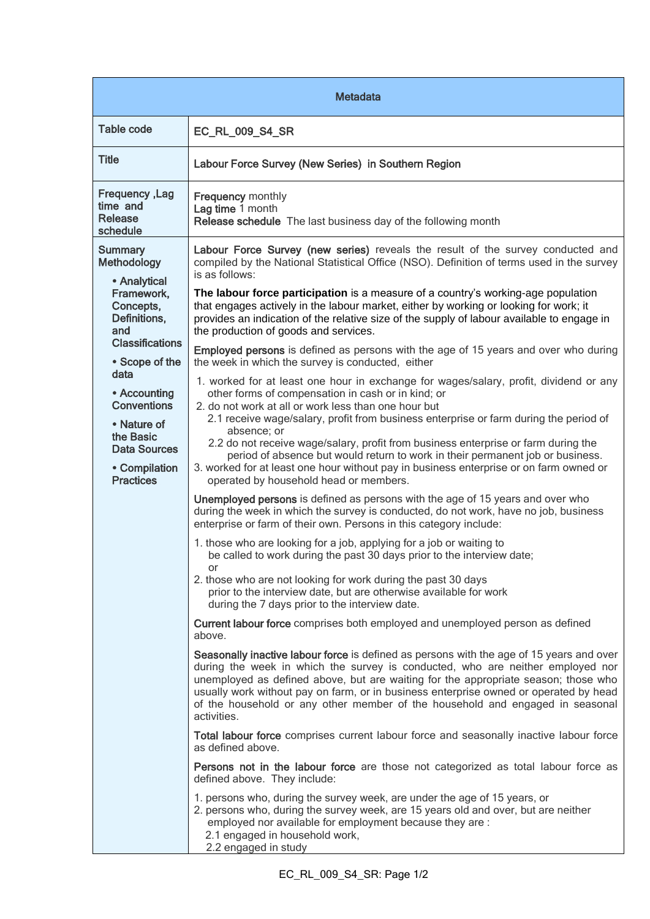| <b>Metadata</b>                                                                                                                                                                                                                                                                   |                                                                                                                                                                                                                                                                                                                                                                                                                                                                                                                                                                                                                                                                                                                                                                                                                                                                                                                                                                                                                                                                                                                                                                                                                                                                                                                                                                                                                                                                                                                                                                                                                                                                                                                                                                                                                                                                                                                                                                                                                                                                                                                                                                                                                                                                                                                                                                                                                                                                                                                                                                                                                                                                |  |
|-----------------------------------------------------------------------------------------------------------------------------------------------------------------------------------------------------------------------------------------------------------------------------------|----------------------------------------------------------------------------------------------------------------------------------------------------------------------------------------------------------------------------------------------------------------------------------------------------------------------------------------------------------------------------------------------------------------------------------------------------------------------------------------------------------------------------------------------------------------------------------------------------------------------------------------------------------------------------------------------------------------------------------------------------------------------------------------------------------------------------------------------------------------------------------------------------------------------------------------------------------------------------------------------------------------------------------------------------------------------------------------------------------------------------------------------------------------------------------------------------------------------------------------------------------------------------------------------------------------------------------------------------------------------------------------------------------------------------------------------------------------------------------------------------------------------------------------------------------------------------------------------------------------------------------------------------------------------------------------------------------------------------------------------------------------------------------------------------------------------------------------------------------------------------------------------------------------------------------------------------------------------------------------------------------------------------------------------------------------------------------------------------------------------------------------------------------------------------------------------------------------------------------------------------------------------------------------------------------------------------------------------------------------------------------------------------------------------------------------------------------------------------------------------------------------------------------------------------------------------------------------------------------------------------------------------------------------|--|
| <b>Table code</b>                                                                                                                                                                                                                                                                 | <b>EC_RL_009_S4_SR</b>                                                                                                                                                                                                                                                                                                                                                                                                                                                                                                                                                                                                                                                                                                                                                                                                                                                                                                                                                                                                                                                                                                                                                                                                                                                                                                                                                                                                                                                                                                                                                                                                                                                                                                                                                                                                                                                                                                                                                                                                                                                                                                                                                                                                                                                                                                                                                                                                                                                                                                                                                                                                                                         |  |
| <b>Title</b>                                                                                                                                                                                                                                                                      | Labour Force Survey (New Series) in Southern Region                                                                                                                                                                                                                                                                                                                                                                                                                                                                                                                                                                                                                                                                                                                                                                                                                                                                                                                                                                                                                                                                                                                                                                                                                                                                                                                                                                                                                                                                                                                                                                                                                                                                                                                                                                                                                                                                                                                                                                                                                                                                                                                                                                                                                                                                                                                                                                                                                                                                                                                                                                                                            |  |
| Frequency, Lag<br>time and<br>Release<br>schedule                                                                                                                                                                                                                                 | <b>Frequency monthly</b><br>Lag time 1 month<br>Release schedule The last business day of the following month                                                                                                                                                                                                                                                                                                                                                                                                                                                                                                                                                                                                                                                                                                                                                                                                                                                                                                                                                                                                                                                                                                                                                                                                                                                                                                                                                                                                                                                                                                                                                                                                                                                                                                                                                                                                                                                                                                                                                                                                                                                                                                                                                                                                                                                                                                                                                                                                                                                                                                                                                  |  |
| <b>Summary</b><br>Methodology<br>• Analytical<br>Framework,<br>Concepts,<br>Definitions,<br>and<br><b>Classifications</b><br>• Scope of the<br>data<br>• Accounting<br><b>Conventions</b><br>• Nature of<br>the Basic<br><b>Data Sources</b><br>• Compilation<br><b>Practices</b> | Labour Force Survey (new series) reveals the result of the survey conducted and<br>compiled by the National Statistical Office (NSO). Definition of terms used in the survey<br>is as follows:<br>The labour force participation is a measure of a country's working-age population<br>that engages actively in the labour market, either by working or looking for work; it<br>provides an indication of the relative size of the supply of labour available to engage in<br>the production of goods and services.<br><b>Employed persons</b> is defined as persons with the age of 15 years and over who during<br>the week in which the survey is conducted, either<br>1. worked for at least one hour in exchange for wages/salary, profit, dividend or any<br>other forms of compensation in cash or in kind; or<br>2. do not work at all or work less than one hour but<br>2.1 receive wage/salary, profit from business enterprise or farm during the period of<br>absence; or<br>2.2 do not receive wage/salary, profit from business enterprise or farm during the<br>period of absence but would return to work in their permanent job or business.<br>3. worked for at least one hour without pay in business enterprise or on farm owned or<br>operated by household head or members.<br>Unemployed persons is defined as persons with the age of 15 years and over who<br>during the week in which the survey is conducted, do not work, have no job, business<br>enterprise or farm of their own. Persons in this category include:<br>1. those who are looking for a job, applying for a job or waiting to<br>be called to work during the past 30 days prior to the interview date;<br>or<br>2. those who are not looking for work during the past 30 days<br>prior to the interview date, but are otherwise available for work<br>during the 7 days prior to the interview date.<br>Current labour force comprises both employed and unemployed person as defined<br>above.<br>Seasonally inactive labour force is defined as persons with the age of 15 years and over<br>during the week in which the survey is conducted, who are neither employed nor<br>unemployed as defined above, but are waiting for the appropriate season; those who<br>usually work without pay on farm, or in business enterprise owned or operated by head<br>of the household or any other member of the household and engaged in seasonal<br>activities.<br>Total labour force comprises current labour force and seasonally inactive labour force<br>as defined above.<br>Persons not in the labour force are those not categorized as total labour force as |  |
|                                                                                                                                                                                                                                                                                   | defined above. They include:<br>1. persons who, during the survey week, are under the age of 15 years, or<br>2. persons who, during the survey week, are 15 years old and over, but are neither<br>employed nor available for employment because they are :<br>2.1 engaged in household work,<br>2.2 engaged in study                                                                                                                                                                                                                                                                                                                                                                                                                                                                                                                                                                                                                                                                                                                                                                                                                                                                                                                                                                                                                                                                                                                                                                                                                                                                                                                                                                                                                                                                                                                                                                                                                                                                                                                                                                                                                                                                                                                                                                                                                                                                                                                                                                                                                                                                                                                                          |  |